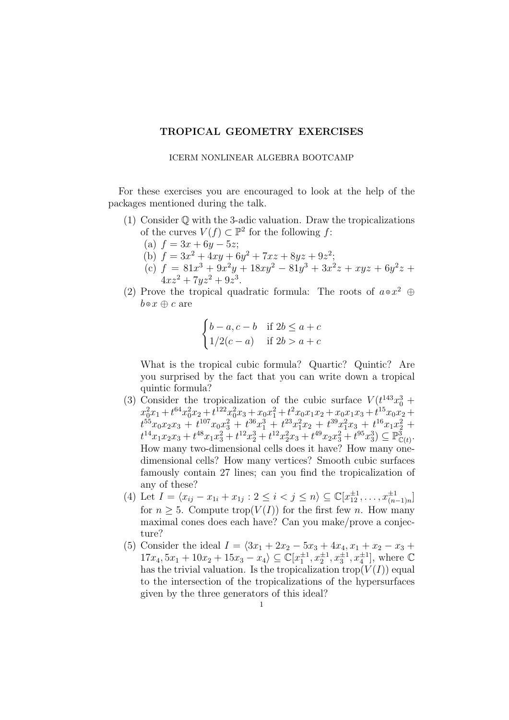## TROPICAL GEOMETRY EXERCISES

## ICERM NONLINEAR ALGEBRA BOOTCAMP

For these exercises you are encouraged to look at the help of the packages mentioned during the talk.

- (1) Consider Q with the 3-adic valuation. Draw the tropicalizations of the curves  $V(f) \subset \mathbb{P}^2$  for the following f:
	- (a)  $f = 3x + 6y 5z$ ;
	- (b)  $f = 3x^2 + 4xy + 6y^2 + 7xz + 8yz + 9z^2;$
	- (c)  $f = 81x^3 + 9x^2y + 18xy^2 81y^3 + 3x^2z + xyz + 6y^2z +$  $4xz^2 + 7yz^2 + 9z^3$ .
- (2) Prove the tropical quadratic formula: The roots of  $a \circ x^2 \oplus$  $b \circ x \oplus c$  are

$$
\begin{cases} b-a, c-b & \text{if } 2b \le a+c \\ 1/2(c-a) & \text{if } 2b > a+c \end{cases}
$$

What is the tropical cubic formula? Quartic? Quintic? Are you surprised by the fact that you can write down a tropical quintic formula?

- (3) Consider the tropicalization of the cubic surface  $V(t^{143}x_0^3 +$  $x_0^2x_1+t^{64}x_0^2x_2+t^{122}x_0^2x_3+x_0x_1^2+t^2x_0x_1x_2+x_0x_1x_3+t^{15}x_0x_2+$  $t^{55}x_0x_2x_3 + t^{107}x_0x_3^2 + t^{36}x_1^3 + t^{23}x_1^2x_2 + t^{39}x_1^2x_3 + t^{16}x_1x_2^2 +$  $t^{14}x_1x_2x_3+t^{48}x_1x_3^2+t^{12}x_2^3+t^{12}x_2^2x_3+t^{49}x_2x_3^2+t^{95}x_3^3) \subseteq \mathbb{P}^3_{\mathbb{C}(t)}.$ How many two-dimensional cells does it have? How many onedimensional cells? How many vertices? Smooth cubic surfaces famously contain 27 lines; can you find the tropicalization of any of these?
- (4) Let  $I = \langle x_{ij} x_{1i} + x_{1j} : 2 \leq i \leq j \leq n \rangle \subseteq \mathbb{C}[x_{12}^{\pm 1}, \ldots, x_{(n-1)n}^{\pm 1}]$ for  $n > 5$ . Compute trop( $V(I)$ ) for the first few n. How many maximal cones does each have? Can you make/prove a conjecture?
- (5) Consider the ideal  $I = \langle 3x_1 + 2x_2 5x_3 + 4x_4, x_1 + x_2 x_3 + 1 \rangle$  $17x_4, 5x_1 + 10x_2 + 15x_3 - x_4 \subseteq \mathbb{C}[x_1^{\pm 1}, x_2^{\pm 1}, x_3^{\pm 1}, x_4^{\pm 1}]$ , where  $\mathbb{C}$ has the trivial valuation. Is the tropicalization trop $(V(I))$  equal to the intersection of the tropicalizations of the hypersurfaces given by the three generators of this ideal?